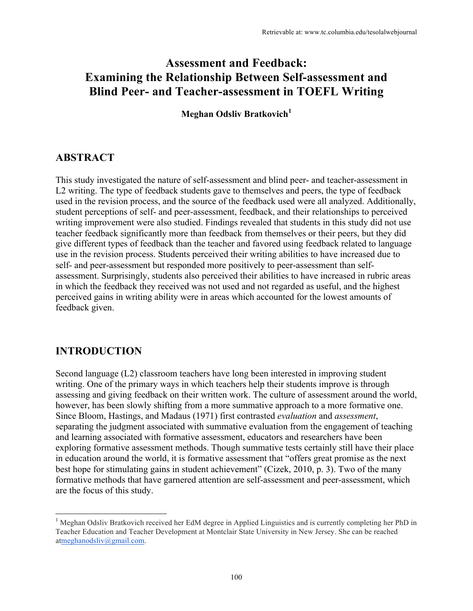# **Assessment and Feedback: Examining the Relationship Between Self-assessment and Blind Peer- and Teacher-assessment in TOEFL Writing**

**Meghan Odsliv Bratkovich<sup>1</sup>**

# **ABSTRACT**

This study investigated the nature of self-assessment and blind peer- and teacher-assessment in L2 writing. The type of feedback students gave to themselves and peers, the type of feedback used in the revision process, and the source of the feedback used were all analyzed. Additionally, student perceptions of self- and peer-assessment, feedback, and their relationships to perceived writing improvement were also studied. Findings revealed that students in this study did not use teacher feedback significantly more than feedback from themselves or their peers, but they did give different types of feedback than the teacher and favored using feedback related to language use in the revision process. Students perceived their writing abilities to have increased due to self- and peer-assessment but responded more positively to peer-assessment than selfassessment. Surprisingly, students also perceived their abilities to have increased in rubric areas in which the feedback they received was not used and not regarded as useful, and the highest perceived gains in writing ability were in areas which accounted for the lowest amounts of feedback given.

# **INTRODUCTION**

Second language (L2) classroom teachers have long been interested in improving student writing. One of the primary ways in which teachers help their students improve is through assessing and giving feedback on their written work. The culture of assessment around the world, however, has been slowly shifting from a more summative approach to a more formative one. Since Bloom, Hastings, and Madaus (1971) first contrasted *evaluation* and *assessment*, separating the judgment associated with summative evaluation from the engagement of teaching and learning associated with formative assessment, educators and researchers have been exploring formative assessment methods. Though summative tests certainly still have their place in education around the world, it is formative assessment that "offers great promise as the next best hope for stimulating gains in student achievement" (Cizek, 2010, p. 3). Two of the many formative methods that have garnered attention are self-assessment and peer-assessment, which are the focus of this study.

<sup>&</sup>lt;sup>1</sup> Meghan Odsliv Bratkovich received her EdM degree in Applied Linguistics and is currently completing her PhD in Teacher Education and Teacher Development at Montclair State University in New Jersey. She can be reached atmeghanodsliv@gmail.com.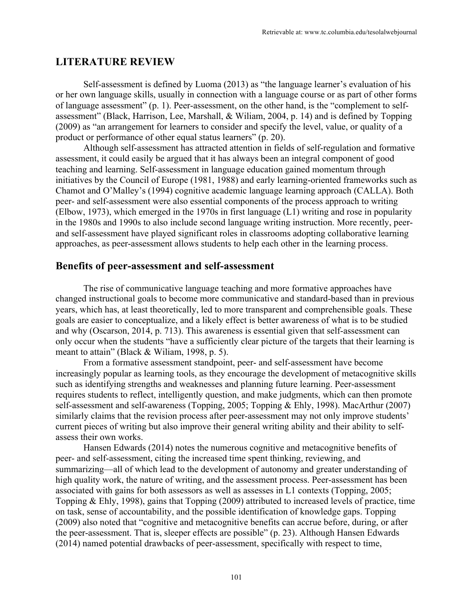## **LITERATURE REVIEW**

Self-assessment is defined by Luoma (2013) as "the language learner's evaluation of his or her own language skills, usually in connection with a language course or as part of other forms of language assessment" (p. 1). Peer-assessment, on the other hand, is the "complement to selfassessment" (Black, Harrison, Lee, Marshall, & Wiliam, 2004, p. 14) and is defined by Topping (2009) as "an arrangement for learners to consider and specify the level, value, or quality of a product or performance of other equal status learners" (p. 20).

Although self-assessment has attracted attention in fields of self-regulation and formative assessment, it could easily be argued that it has always been an integral component of good teaching and learning. Self-assessment in language education gained momentum through initiatives by the Council of Europe (1981, 1988) and early learning-oriented frameworks such as Chamot and O'Malley's (1994) cognitive academic language learning approach (CALLA). Both peer- and self-assessment were also essential components of the process approach to writing (Elbow, 1973), which emerged in the 1970s in first language (L1) writing and rose in popularity in the 1980s and 1990s to also include second language writing instruction. More recently, peerand self-assessment have played significant roles in classrooms adopting collaborative learning approaches, as peer-assessment allows students to help each other in the learning process.

## **Benefits of peer-assessment and self-assessment**

The rise of communicative language teaching and more formative approaches have changed instructional goals to become more communicative and standard-based than in previous years, which has, at least theoretically, led to more transparent and comprehensible goals. These goals are easier to conceptualize, and a likely effect is better awareness of what is to be studied and why (Oscarson, 2014, p. 713). This awareness is essential given that self-assessment can only occur when the students "have a sufficiently clear picture of the targets that their learning is meant to attain" (Black & Wiliam, 1998, p. 5).

From a formative assessment standpoint, peer- and self-assessment have become increasingly popular as learning tools, as they encourage the development of metacognitive skills such as identifying strengths and weaknesses and planning future learning. Peer-assessment requires students to reflect, intelligently question, and make judgments, which can then promote self-assessment and self-awareness (Topping, 2005; Topping & Ehly, 1998). MacArthur (2007) similarly claims that the revision process after peer-assessment may not only improve students' current pieces of writing but also improve their general writing ability and their ability to selfassess their own works.

Hansen Edwards (2014) notes the numerous cognitive and metacognitive benefits of peer- and self-assessment, citing the increased time spent thinking, reviewing, and summarizing—all of which lead to the development of autonomy and greater understanding of high quality work, the nature of writing, and the assessment process. Peer-assessment has been associated with gains for both assessors as well as assesses in L1 contexts (Topping, 2005; Topping & Ehly, 1998), gains that Topping (2009) attributed to increased levels of practice, time on task, sense of accountability, and the possible identification of knowledge gaps. Topping (2009) also noted that "cognitive and metacognitive benefits can accrue before, during, or after the peer-assessment. That is, sleeper effects are possible" (p. 23). Although Hansen Edwards (2014) named potential drawbacks of peer-assessment, specifically with respect to time,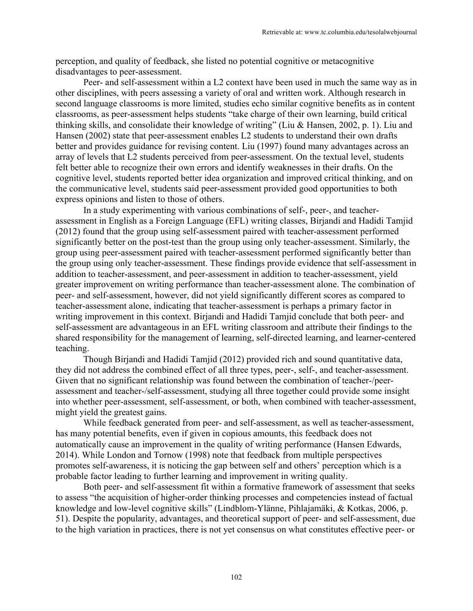perception, and quality of feedback, she listed no potential cognitive or metacognitive disadvantages to peer-assessment.

Peer- and self-assessment within a L2 context have been used in much the same way as in other disciplines, with peers assessing a variety of oral and written work. Although research in second language classrooms is more limited, studies echo similar cognitive benefits as in content classrooms, as peer-assessment helps students "take charge of their own learning, build critical thinking skills, and consolidate their knowledge of writing" (Liu & Hansen, 2002, p. 1). Liu and Hansen (2002) state that peer-assessment enables L2 students to understand their own drafts better and provides guidance for revising content. Liu (1997) found many advantages across an array of levels that L2 students perceived from peer-assessment. On the textual level, students felt better able to recognize their own errors and identify weaknesses in their drafts. On the cognitive level, students reported better idea organization and improved critical thinking, and on the communicative level, students said peer-assessment provided good opportunities to both express opinions and listen to those of others.

In a study experimenting with various combinations of self-, peer-, and teacherassessment in English as a Foreign Language (EFL) writing classes, Birjandi and Hadidi Tamjid (2012) found that the group using self-assessment paired with teacher-assessment performed significantly better on the post-test than the group using only teacher-assessment. Similarly, the group using peer-assessment paired with teacher-assessment performed significantly better than the group using only teacher-assessment. These findings provide evidence that self-assessment in addition to teacher-assessment, and peer-assessment in addition to teacher-assessment, yield greater improvement on writing performance than teacher-assessment alone. The combination of peer- and self-assessment, however, did not yield significantly different scores as compared to teacher-assessment alone, indicating that teacher-assessment is perhaps a primary factor in writing improvement in this context. Birjandi and Hadidi Tamjid conclude that both peer- and self-assessment are advantageous in an EFL writing classroom and attribute their findings to the shared responsibility for the management of learning, self-directed learning, and learner-centered teaching.

Though Birjandi and Hadidi Tamjid (2012) provided rich and sound quantitative data, they did not address the combined effect of all three types, peer-, self-, and teacher-assessment. Given that no significant relationship was found between the combination of teacher-/peerassessment and teacher-/self-assessment, studying all three together could provide some insight into whether peer-assessment, self-assessment, or both, when combined with teacher-assessment, might yield the greatest gains.

While feedback generated from peer- and self-assessment, as well as teacher-assessment, has many potential benefits, even if given in copious amounts, this feedback does not automatically cause an improvement in the quality of writing performance (Hansen Edwards, 2014). While London and Tornow (1998) note that feedback from multiple perspectives promotes self-awareness, it is noticing the gap between self and others' perception which is a probable factor leading to further learning and improvement in writing quality.

Both peer- and self-assessment fit within a formative framework of assessment that seeks to assess "the acquisition of higher-order thinking processes and competencies instead of factual knowledge and low-level cognitive skills" (Lindblom-Ylänne, Pihlajamäki, & Kotkas, 2006, p. 51). Despite the popularity, advantages, and theoretical support of peer- and self-assessment, due to the high variation in practices, there is not yet consensus on what constitutes effective peer- or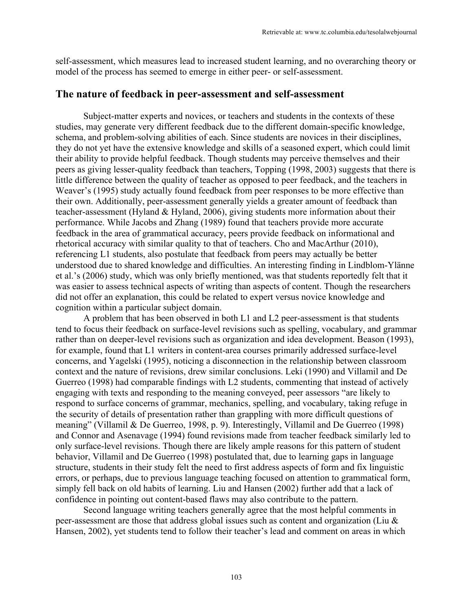self-assessment, which measures lead to increased student learning, and no overarching theory or model of the process has seemed to emerge in either peer- or self-assessment.

#### **The nature of feedback in peer-assessment and self-assessment**

Subject-matter experts and novices, or teachers and students in the contexts of these studies, may generate very different feedback due to the different domain-specific knowledge, schema, and problem-solving abilities of each. Since students are novices in their disciplines, they do not yet have the extensive knowledge and skills of a seasoned expert, which could limit their ability to provide helpful feedback. Though students may perceive themselves and their peers as giving lesser-quality feedback than teachers, Topping (1998, 2003) suggests that there is little difference between the quality of teacher as opposed to peer feedback, and the teachers in Weaver's (1995) study actually found feedback from peer responses to be more effective than their own. Additionally, peer-assessment generally yields a greater amount of feedback than teacher-assessment (Hyland & Hyland, 2006), giving students more information about their performance. While Jacobs and Zhang (1989) found that teachers provide more accurate feedback in the area of grammatical accuracy, peers provide feedback on informational and rhetorical accuracy with similar quality to that of teachers. Cho and MacArthur (2010), referencing L1 students, also postulate that feedback from peers may actually be better understood due to shared knowledge and difficulties. An interesting finding in Lindblom-Ylänne et al.'s (2006) study, which was only briefly mentioned, was that students reportedly felt that it was easier to assess technical aspects of writing than aspects of content. Though the researchers did not offer an explanation, this could be related to expert versus novice knowledge and cognition within a particular subject domain.

A problem that has been observed in both L1 and L2 peer-assessment is that students tend to focus their feedback on surface-level revisions such as spelling, vocabulary, and grammar rather than on deeper-level revisions such as organization and idea development. Beason (1993), for example, found that L1 writers in content-area courses primarily addressed surface-level concerns, and Yagelski (1995), noticing a disconnection in the relationship between classroom context and the nature of revisions, drew similar conclusions. Leki (1990) and Villamil and De Guerreo (1998) had comparable findings with L2 students, commenting that instead of actively engaging with texts and responding to the meaning conveyed, peer assessors "are likely to respond to surface concerns of grammar, mechanics, spelling, and vocabulary, taking refuge in the security of details of presentation rather than grappling with more difficult questions of meaning" (Villamil & De Guerreo, 1998, p. 9). Interestingly, Villamil and De Guerreo (1998) and Connor and Asenavage (1994) found revisions made from teacher feedback similarly led to only surface-level revisions. Though there are likely ample reasons for this pattern of student behavior, Villamil and De Guerreo (1998) postulated that, due to learning gaps in language structure, students in their study felt the need to first address aspects of form and fix linguistic errors, or perhaps, due to previous language teaching focused on attention to grammatical form, simply fell back on old habits of learning. Liu and Hansen (2002) further add that a lack of confidence in pointing out content-based flaws may also contribute to the pattern.

Second language writing teachers generally agree that the most helpful comments in peer-assessment are those that address global issues such as content and organization (Liu & Hansen, 2002), yet students tend to follow their teacher's lead and comment on areas in which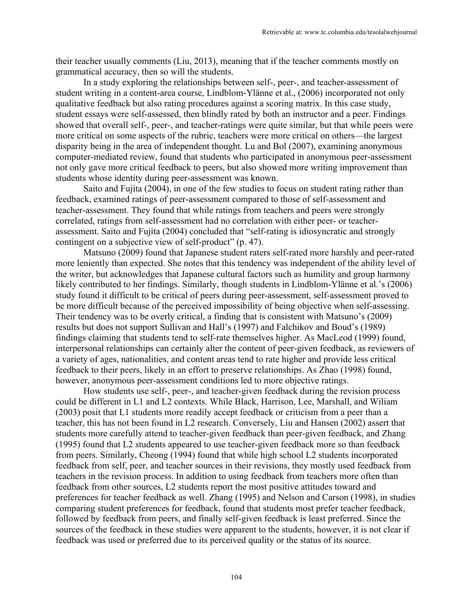their teacher usually comments (Liu, 2013), meaning that if the teacher comments mostly on grammatical accuracy, then so will the students.

In a study exploring the relationships between self-, peer-, and teacher-assessment of student writing in a content-area course, Lindblom-Ylänne et al., (2006) incorporated not only qualitative feedback but also rating procedures against a scoring matrix. In this case study, student essays were self-assessed, then blindly rated by both an instructor and a peer. Findings showed that overall self-, peer-, and teacher-ratings were quite similar, but that while peers were more critical on some aspects of the rubric, teachers were more critical on others—the largest disparity being in the area of independent thought. Lu and Bol (2007), examining anonymous computer-mediated review, found that students who participated in anonymous peer-assessment not only gave more critical feedback to peers, but also showed more writing improvement than students whose identity during peer-assessment was known.

Saito and Fujita (2004), in one of the few studies to focus on student rating rather than feedback, examined ratings of peer-assessment compared to those of self-assessment and teacher-assessment. They found that while ratings from teachers and peers were strongly correlated, ratings from self-assessment had no correlation with either peer- or teacherassessment. Saito and Fujita (2004) concluded that "self-rating is idiosyncratic and strongly contingent on a subjective view of self-product" (p. 47).

Matsuno (2009) found that Japanese student raters self-rated more harshly and peer-rated more leniently than expected. She notes that this tendency was independent of the ability level of the writer, but acknowledges that Japanese cultural factors such as humility and group harmony likely contributed to her findings. Similarly, though students in Lindblom-Ylänne et al.'s (2006) study found it difficult to be critical of peers during peer-assessment, self-assessment proved to be more difficult because of the perceived impossibility of being objective when self-assessing. Their tendency was to be overly critical, a finding that is consistent with Matsuno's (2009) results but does not support Sullivan and Hall's (1997) and Falchikov and Boud's (1989) findings claiming that students tend to self-rate themselves higher. As MacLeod (1999) found, interpersonal relationships can certainly alter the content of peer-given feedback, as reviewers of a variety of ages, nationalities, and content areas tend to rate higher and provide less critical feedback to their peers, likely in an effort to preserve relationships. As Zhao (1998) found, however, anonymous peer-assessment conditions led to more objective ratings.

How students use self-, peer-, and teacher-given feedback during the revision process could be different in L1 and L2 contexts. While Black, Harrison, Lee, Marshall, and Wiliam (2003) posit that L1 students more readily accept feedback or criticism from a peer than a teacher, this has not been found in L2 research. Conversely, Liu and Hansen (2002) assert that students more carefully attend to teacher-given feedback than peer-given feedback, and Zhang (1995) found that L2 students appeared to use teacher-given feedback more so than feedback from peers. Similarly, Cheong (1994) found that while high school L2 students incorporated feedback from self, peer, and teacher sources in their revisions, they mostly used feedback from teachers in the revision process. In addition to using feedback from teachers more often than feedback from other sources, L2 students report the most positive attitudes toward and preferences for teacher feedback as well. Zhang (1995) and Nelson and Carson (1998), in studies comparing student preferences for feedback, found that students most prefer teacher feedback, followed by feedback from peers, and finally self-given feedback is least preferred. Since the sources of the feedback in these studies were apparent to the students, however, it is not clear if feedback was used or preferred due to its perceived quality or the status of its source.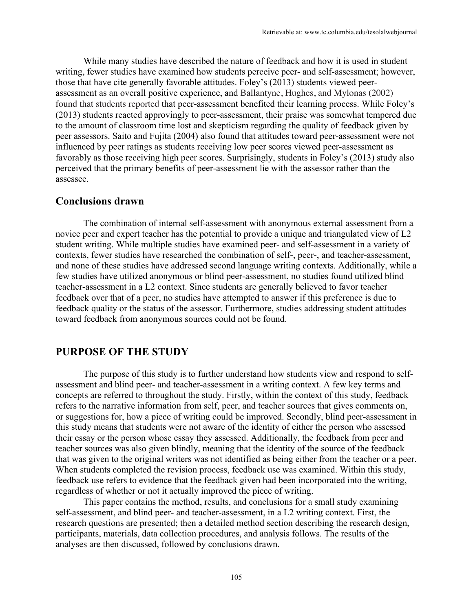While many studies have described the nature of feedback and how it is used in student writing, fewer studies have examined how students perceive peer- and self-assessment; however, those that have cite generally favorable attitudes. Foley's (2013) students viewed peerassessment as an overall positive experience, and Ballantyne, Hughes, and Mylonas (2002) found that students reported that peer-assessment benefited their learning process. While Foley's (2013) students reacted approvingly to peer-assessment, their praise was somewhat tempered due to the amount of classroom time lost and skepticism regarding the quality of feedback given by peer assessors. Saito and Fujita (2004) also found that attitudes toward peer-assessment were not influenced by peer ratings as students receiving low peer scores viewed peer-assessment as favorably as those receiving high peer scores. Surprisingly, students in Foley's (2013) study also perceived that the primary benefits of peer-assessment lie with the assessor rather than the assessee.

#### **Conclusions drawn**

The combination of internal self-assessment with anonymous external assessment from a novice peer and expert teacher has the potential to provide a unique and triangulated view of L2 student writing. While multiple studies have examined peer- and self-assessment in a variety of contexts, fewer studies have researched the combination of self-, peer-, and teacher-assessment, and none of these studies have addressed second language writing contexts. Additionally, while a few studies have utilized anonymous or blind peer-assessment, no studies found utilized blind teacher-assessment in a L2 context. Since students are generally believed to favor teacher feedback over that of a peer, no studies have attempted to answer if this preference is due to feedback quality or the status of the assessor. Furthermore, studies addressing student attitudes toward feedback from anonymous sources could not be found.

### **PURPOSE OF THE STUDY**

The purpose of this study is to further understand how students view and respond to selfassessment and blind peer- and teacher-assessment in a writing context. A few key terms and concepts are referred to throughout the study. Firstly, within the context of this study, feedback refers to the narrative information from self, peer, and teacher sources that gives comments on, or suggestions for, how a piece of writing could be improved. Secondly, blind peer-assessment in this study means that students were not aware of the identity of either the person who assessed their essay or the person whose essay they assessed. Additionally, the feedback from peer and teacher sources was also given blindly, meaning that the identity of the source of the feedback that was given to the original writers was not identified as being either from the teacher or a peer. When students completed the revision process, feedback use was examined. Within this study, feedback use refers to evidence that the feedback given had been incorporated into the writing, regardless of whether or not it actually improved the piece of writing.

This paper contains the method, results, and conclusions for a small study examining self-assessment, and blind peer- and teacher-assessment, in a L2 writing context. First, the research questions are presented; then a detailed method section describing the research design, participants, materials, data collection procedures, and analysis follows. The results of the analyses are then discussed, followed by conclusions drawn.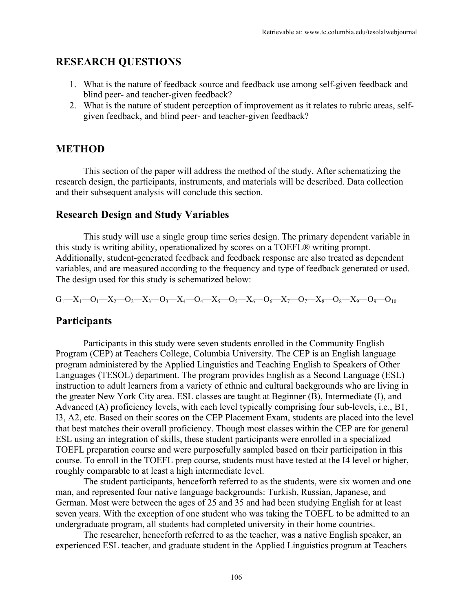## **RESEARCH QUESTIONS**

- 1. What is the nature of feedback source and feedback use among self-given feedback and blind peer- and teacher-given feedback?
- 2. What is the nature of student perception of improvement as it relates to rubric areas, selfgiven feedback, and blind peer- and teacher-given feedback?

## **METHOD**

This section of the paper will address the method of the study. After schematizing the research design, the participants, instruments, and materials will be described. Data collection and their subsequent analysis will conclude this section.

### **Research Design and Study Variables**

This study will use a single group time series design. The primary dependent variable in this study is writing ability, operationalized by scores on a TOEFL® writing prompt. Additionally, student-generated feedback and feedback response are also treated as dependent variables, and are measured according to the frequency and type of feedback generated or used. The design used for this study is schematized below:

 $G_1-X_1-O_1-X_2-O_2-X_3-O_3-X_4-O_4-X_5-O_5-X_6-O_6-X_7-O_7-X_8-O_8-X_9-O_9-O_{10}$ 

## **Participants**

Participants in this study were seven students enrolled in the Community English Program (CEP) at Teachers College, Columbia University. The CEP is an English language program administered by the Applied Linguistics and Teaching English to Speakers of Other Languages (TESOL) department. The program provides English as a Second Language (ESL) instruction to adult learners from a variety of ethnic and cultural backgrounds who are living in the greater New York City area. ESL classes are taught at Beginner (B), Intermediate (I), and Advanced (A) proficiency levels, with each level typically comprising four sub-levels, i.e., B1, I3, A2, etc. Based on their scores on the CEP Placement Exam, students are placed into the level that best matches their overall proficiency. Though most classes within the CEP are for general ESL using an integration of skills, these student participants were enrolled in a specialized TOEFL preparation course and were purposefully sampled based on their participation in this course. To enroll in the TOEFL prep course, students must have tested at the I4 level or higher, roughly comparable to at least a high intermediate level.

The student participants, henceforth referred to as the students, were six women and one man, and represented four native language backgrounds: Turkish, Russian, Japanese, and German. Most were between the ages of 25 and 35 and had been studying English for at least seven years. With the exception of one student who was taking the TOEFL to be admitted to an undergraduate program, all students had completed university in their home countries.

The researcher, henceforth referred to as the teacher, was a native English speaker, an experienced ESL teacher, and graduate student in the Applied Linguistics program at Teachers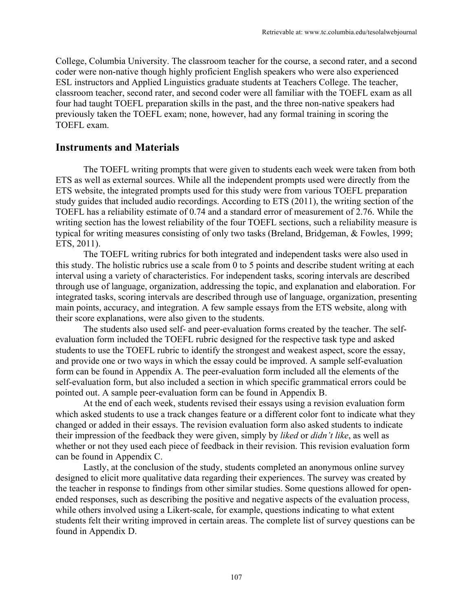College, Columbia University. The classroom teacher for the course, a second rater, and a second coder were non-native though highly proficient English speakers who were also experienced ESL instructors and Applied Linguistics graduate students at Teachers College. The teacher, classroom teacher, second rater, and second coder were all familiar with the TOEFL exam as all four had taught TOEFL preparation skills in the past, and the three non-native speakers had previously taken the TOEFL exam; none, however, had any formal training in scoring the TOEFL exam.

### **Instruments and Materials**

The TOEFL writing prompts that were given to students each week were taken from both ETS as well as external sources. While all the independent prompts used were directly from the ETS website, the integrated prompts used for this study were from various TOEFL preparation study guides that included audio recordings. According to ETS (2011), the writing section of the TOEFL has a reliability estimate of 0.74 and a standard error of measurement of 2.76. While the writing section has the lowest reliability of the four TOEFL sections, such a reliability measure is typical for writing measures consisting of only two tasks (Breland, Bridgeman, & Fowles, 1999; ETS, 2011).

The TOEFL writing rubrics for both integrated and independent tasks were also used in this study. The holistic rubrics use a scale from 0 to 5 points and describe student writing at each interval using a variety of characteristics. For independent tasks, scoring intervals are described through use of language, organization, addressing the topic, and explanation and elaboration. For integrated tasks, scoring intervals are described through use of language, organization, presenting main points, accuracy, and integration. A few sample essays from the ETS website, along with their score explanations, were also given to the students.

The students also used self- and peer-evaluation forms created by the teacher. The selfevaluation form included the TOEFL rubric designed for the respective task type and asked students to use the TOEFL rubric to identify the strongest and weakest aspect, score the essay, and provide one or two ways in which the essay could be improved. A sample self-evaluation form can be found in Appendix A. The peer-evaluation form included all the elements of the self-evaluation form, but also included a section in which specific grammatical errors could be pointed out. A sample peer-evaluation form can be found in Appendix B.

At the end of each week, students revised their essays using a revision evaluation form which asked students to use a track changes feature or a different color font to indicate what they changed or added in their essays. The revision evaluation form also asked students to indicate their impression of the feedback they were given, simply by *liked* or *didn't like*, as well as whether or not they used each piece of feedback in their revision. This revision evaluation form can be found in Appendix C.

Lastly, at the conclusion of the study, students completed an anonymous online survey designed to elicit more qualitative data regarding their experiences. The survey was created by the teacher in response to findings from other similar studies. Some questions allowed for openended responses, such as describing the positive and negative aspects of the evaluation process, while others involved using a Likert-scale, for example, questions indicating to what extent students felt their writing improved in certain areas. The complete list of survey questions can be found in Appendix D.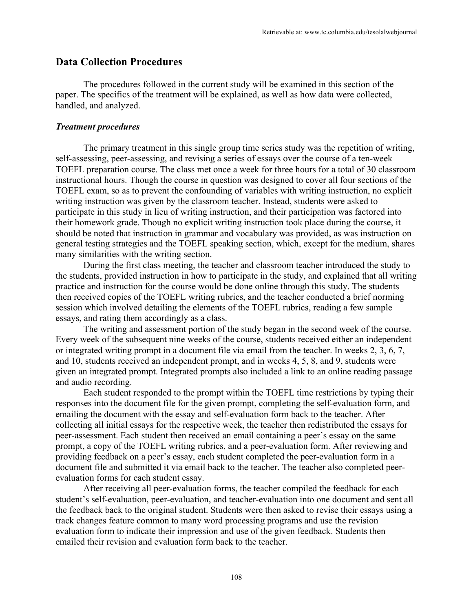### **Data Collection Procedures**

The procedures followed in the current study will be examined in this section of the paper. The specifics of the treatment will be explained, as well as how data were collected, handled, and analyzed.

#### *Treatment procedures*

The primary treatment in this single group time series study was the repetition of writing, self-assessing, peer-assessing, and revising a series of essays over the course of a ten-week TOEFL preparation course. The class met once a week for three hours for a total of 30 classroom instructional hours. Though the course in question was designed to cover all four sections of the TOEFL exam, so as to prevent the confounding of variables with writing instruction, no explicit writing instruction was given by the classroom teacher. Instead, students were asked to participate in this study in lieu of writing instruction, and their participation was factored into their homework grade. Though no explicit writing instruction took place during the course, it should be noted that instruction in grammar and vocabulary was provided, as was instruction on general testing strategies and the TOEFL speaking section, which, except for the medium, shares many similarities with the writing section.

During the first class meeting, the teacher and classroom teacher introduced the study to the students, provided instruction in how to participate in the study, and explained that all writing practice and instruction for the course would be done online through this study. The students then received copies of the TOEFL writing rubrics, and the teacher conducted a brief norming session which involved detailing the elements of the TOEFL rubrics, reading a few sample essays, and rating them accordingly as a class.

The writing and assessment portion of the study began in the second week of the course. Every week of the subsequent nine weeks of the course, students received either an independent or integrated writing prompt in a document file via email from the teacher. In weeks 2, 3, 6, 7, and 10, students received an independent prompt, and in weeks 4, 5, 8, and 9, students were given an integrated prompt. Integrated prompts also included a link to an online reading passage and audio recording.

Each student responded to the prompt within the TOEFL time restrictions by typing their responses into the document file for the given prompt, completing the self-evaluation form, and emailing the document with the essay and self-evaluation form back to the teacher. After collecting all initial essays for the respective week, the teacher then redistributed the essays for peer-assessment. Each student then received an email containing a peer's essay on the same prompt, a copy of the TOEFL writing rubrics, and a peer-evaluation form. After reviewing and providing feedback on a peer's essay, each student completed the peer-evaluation form in a document file and submitted it via email back to the teacher. The teacher also completed peerevaluation forms for each student essay.

After receiving all peer-evaluation forms, the teacher compiled the feedback for each student's self-evaluation, peer-evaluation, and teacher-evaluation into one document and sent all the feedback back to the original student. Students were then asked to revise their essays using a track changes feature common to many word processing programs and use the revision evaluation form to indicate their impression and use of the given feedback. Students then emailed their revision and evaluation form back to the teacher.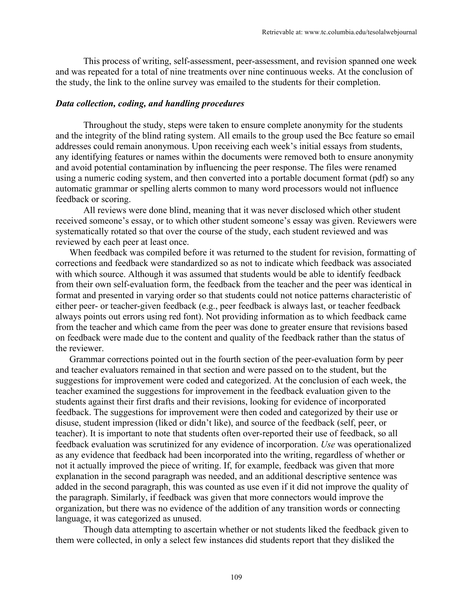This process of writing, self-assessment, peer-assessment, and revision spanned one week and was repeated for a total of nine treatments over nine continuous weeks. At the conclusion of the study, the link to the online survey was emailed to the students for their completion.

#### *Data collection, coding, and handling procedures*

Throughout the study, steps were taken to ensure complete anonymity for the students and the integrity of the blind rating system. All emails to the group used the Bcc feature so email addresses could remain anonymous. Upon receiving each week's initial essays from students, any identifying features or names within the documents were removed both to ensure anonymity and avoid potential contamination by influencing the peer response. The files were renamed using a numeric coding system, and then converted into a portable document format (pdf) so any automatic grammar or spelling alerts common to many word processors would not influence feedback or scoring.

All reviews were done blind, meaning that it was never disclosed which other student received someone's essay, or to which other student someone's essay was given. Reviewers were systematically rotated so that over the course of the study, each student reviewed and was reviewed by each peer at least once.

When feedback was compiled before it was returned to the student for revision, formatting of corrections and feedback were standardized so as not to indicate which feedback was associated with which source. Although it was assumed that students would be able to identify feedback from their own self-evaluation form, the feedback from the teacher and the peer was identical in format and presented in varying order so that students could not notice patterns characteristic of either peer- or teacher-given feedback (e.g., peer feedback is always last, or teacher feedback always points out errors using red font). Not providing information as to which feedback came from the teacher and which came from the peer was done to greater ensure that revisions based on feedback were made due to the content and quality of the feedback rather than the status of the reviewer.

Grammar corrections pointed out in the fourth section of the peer-evaluation form by peer and teacher evaluators remained in that section and were passed on to the student, but the suggestions for improvement were coded and categorized. At the conclusion of each week, the teacher examined the suggestions for improvement in the feedback evaluation given to the students against their first drafts and their revisions, looking for evidence of incorporated feedback. The suggestions for improvement were then coded and categorized by their use or disuse, student impression (liked or didn't like), and source of the feedback (self, peer, or teacher). It is important to note that students often over-reported their use of feedback, so all feedback evaluation was scrutinized for any evidence of incorporation. *Use* was operationalized as any evidence that feedback had been incorporated into the writing, regardless of whether or not it actually improved the piece of writing. If, for example, feedback was given that more explanation in the second paragraph was needed, and an additional descriptive sentence was added in the second paragraph, this was counted as use even if it did not improve the quality of the paragraph. Similarly, if feedback was given that more connectors would improve the organization, but there was no evidence of the addition of any transition words or connecting language, it was categorized as unused.

Though data attempting to ascertain whether or not students liked the feedback given to them were collected, in only a select few instances did students report that they disliked the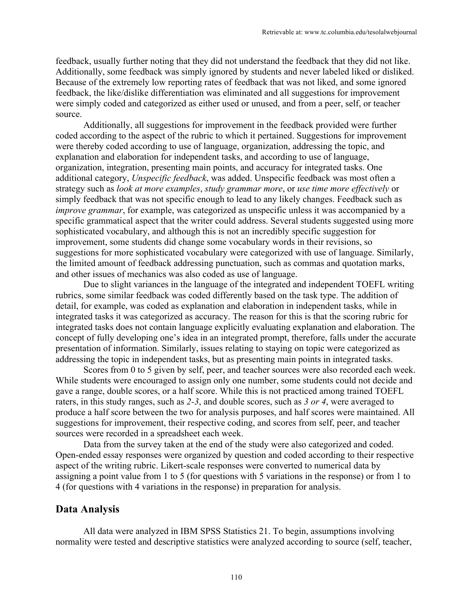feedback, usually further noting that they did not understand the feedback that they did not like. Additionally, some feedback was simply ignored by students and never labeled liked or disliked. Because of the extremely low reporting rates of feedback that was not liked, and some ignored feedback, the like/dislike differentiation was eliminated and all suggestions for improvement were simply coded and categorized as either used or unused, and from a peer, self, or teacher source.

Additionally, all suggestions for improvement in the feedback provided were further coded according to the aspect of the rubric to which it pertained. Suggestions for improvement were thereby coded according to use of language, organization, addressing the topic, and explanation and elaboration for independent tasks, and according to use of language, organization, integration, presenting main points, and accuracy for integrated tasks. One additional category, *Unspecific feedback*, was added. Unspecific feedback was most often a strategy such as *look at more examples*, *study grammar more*, or *use time more effectively* or simply feedback that was not specific enough to lead to any likely changes. Feedback such as *improve grammar*, for example, was categorized as unspecific unless it was accompanied by a specific grammatical aspect that the writer could address. Several students suggested using more sophisticated vocabulary, and although this is not an incredibly specific suggestion for improvement, some students did change some vocabulary words in their revisions, so suggestions for more sophisticated vocabulary were categorized with use of language. Similarly, the limited amount of feedback addressing punctuation, such as commas and quotation marks, and other issues of mechanics was also coded as use of language.

Due to slight variances in the language of the integrated and independent TOEFL writing rubrics, some similar feedback was coded differently based on the task type. The addition of detail, for example, was coded as explanation and elaboration in independent tasks, while in integrated tasks it was categorized as accuracy. The reason for this is that the scoring rubric for integrated tasks does not contain language explicitly evaluating explanation and elaboration. The concept of fully developing one's idea in an integrated prompt, therefore, falls under the accurate presentation of information. Similarly, issues relating to staying on topic were categorized as addressing the topic in independent tasks, but as presenting main points in integrated tasks.

Scores from 0 to 5 given by self, peer, and teacher sources were also recorded each week. While students were encouraged to assign only one number, some students could not decide and gave a range, double scores, or a half score. While this is not practiced among trained TOEFL raters, in this study ranges, such as *2-3*, and double scores, such as *3 or 4*, were averaged to produce a half score between the two for analysis purposes, and half scores were maintained. All suggestions for improvement, their respective coding, and scores from self, peer, and teacher sources were recorded in a spreadsheet each week.

Data from the survey taken at the end of the study were also categorized and coded. Open-ended essay responses were organized by question and coded according to their respective aspect of the writing rubric. Likert-scale responses were converted to numerical data by assigning a point value from 1 to 5 (for questions with 5 variations in the response) or from 1 to 4 (for questions with 4 variations in the response) in preparation for analysis.

### **Data Analysis**

All data were analyzed in IBM SPSS Statistics 21. To begin, assumptions involving normality were tested and descriptive statistics were analyzed according to source (self, teacher,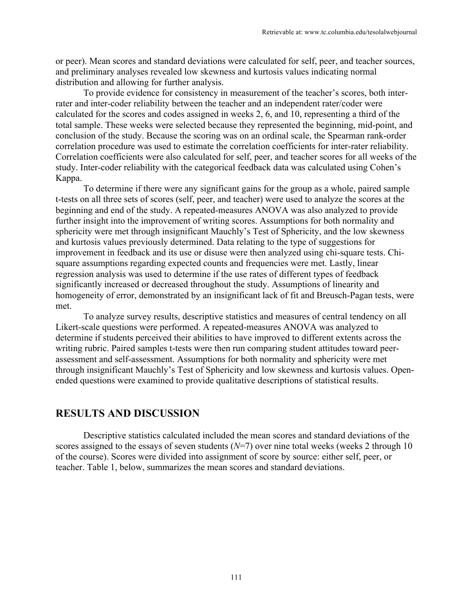or peer). Mean scores and standard deviations were calculated for self, peer, and teacher sources, and preliminary analyses revealed low skewness and kurtosis values indicating normal distribution and allowing for further analysis.

To provide evidence for consistency in measurement of the teacher's scores, both interrater and inter-coder reliability between the teacher and an independent rater/coder were calculated for the scores and codes assigned in weeks 2, 6, and 10, representing a third of the total sample. These weeks were selected because they represented the beginning, mid-point, and conclusion of the study. Because the scoring was on an ordinal scale, the Spearman rank-order correlation procedure was used to estimate the correlation coefficients for inter-rater reliability. Correlation coefficients were also calculated for self, peer, and teacher scores for all weeks of the study. Inter-coder reliability with the categorical feedback data was calculated using Cohen's Kappa.

To determine if there were any significant gains for the group as a whole, paired sample t-tests on all three sets of scores (self, peer, and teacher) were used to analyze the scores at the beginning and end of the study. A repeated-measures ANOVA was also analyzed to provide further insight into the improvement of writing scores. Assumptions for both normality and sphericity were met through insignificant Mauchly's Test of Sphericity, and the low skewness and kurtosis values previously determined. Data relating to the type of suggestions for improvement in feedback and its use or disuse were then analyzed using chi-square tests. Chisquare assumptions regarding expected counts and frequencies were met. Lastly, linear regression analysis was used to determine if the use rates of different types of feedback significantly increased or decreased throughout the study. Assumptions of linearity and homogeneity of error, demonstrated by an insignificant lack of fit and Breusch-Pagan tests, were met.

To analyze survey results, descriptive statistics and measures of central tendency on all Likert-scale questions were performed. A repeated-measures ANOVA was analyzed to determine if students perceived their abilities to have improved to different extents across the writing rubric. Paired samples t-tests were then run comparing student attitudes toward peerassessment and self-assessment. Assumptions for both normality and sphericity were met through insignificant Mauchly's Test of Sphericity and low skewness and kurtosis values. Openended questions were examined to provide qualitative descriptions of statistical results.

### **RESULTS AND DISCUSSION**

Descriptive statistics calculated included the mean scores and standard deviations of the scores assigned to the essays of seven students ( $N=7$ ) over nine total weeks (weeks 2 through 10 of the course). Scores were divided into assignment of score by source: either self, peer, or teacher. Table 1, below, summarizes the mean scores and standard deviations.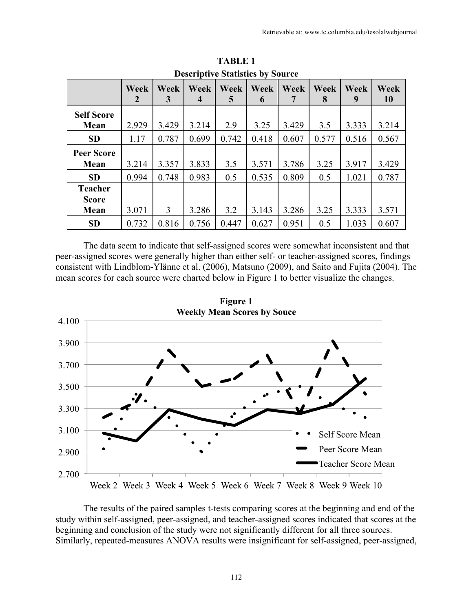|                           |                  |                  | Descriptive biatistics by bource |                  |           |                  |           |           |            |
|---------------------------|------------------|------------------|----------------------------------|------------------|-----------|------------------|-----------|-----------|------------|
|                           | <b>Week</b><br>2 | <b>Week</b><br>3 | Week<br>$\boldsymbol{4}$         | <b>Week</b><br>5 | Week<br>6 | <b>Week</b><br>7 | Week<br>8 | Week<br>9 | Week<br>10 |
| <b>Self Score</b><br>Mean | 2.929            | 3.429            | 3.214                            | 2.9              | 3.25      | 3.429            | 3.5       | 3.333     | 3.214      |
|                           |                  |                  |                                  |                  |           |                  |           |           |            |
| <b>SD</b>                 | 1.17             | 0.787            | 0.699                            | 0.742            | 0.418     | 0.607            | 0.577     | 0.516     | 0.567      |
| <b>Peer Score</b>         |                  |                  |                                  |                  |           |                  |           |           |            |
| Mean                      | 3.214            | 3.357            | 3.833                            | 3.5              | 3.571     | 3.786            | 3.25      | 3.917     | 3.429      |
| <b>SD</b>                 | 0.994            | 0.748            | 0.983                            | 0.5              | 0.535     | 0.809            | 0.5       | 1.021     | 0.787      |
| <b>Teacher</b>            |                  |                  |                                  |                  |           |                  |           |           |            |
| <b>Score</b>              |                  |                  |                                  |                  |           |                  |           |           |            |
| Mean                      | 3.071            | 3                | 3.286                            | 3.2              | 3.143     | 3.286            | 3.25      | 3.333     | 3.571      |
| <b>SD</b>                 | 0.732            | 0.816            | 0.756                            | 0.447            | 0.627     | 0.951            | 0.5       | 1.033     | 0.607      |

**TABLE 1 Descriptive Statistics by Source**

The data seem to indicate that self-assigned scores were somewhat inconsistent and that peer-assigned scores were generally higher than either self- or teacher-assigned scores, findings consistent with Lindblom-Ylänne et al. (2006), Matsuno (2009), and Saito and Fujita (2004). The mean scores for each source were charted below in Figure 1 to better visualize the changes.



**Figure 1** 

The results of the paired samples t-tests comparing scores at the beginning and end of the study within self-assigned, peer-assigned, and teacher-assigned scores indicated that scores at the beginning and conclusion of the study were not significantly different for all three sources. Similarly, repeated-measures ANOVA results were insignificant for self-assigned, peer-assigned,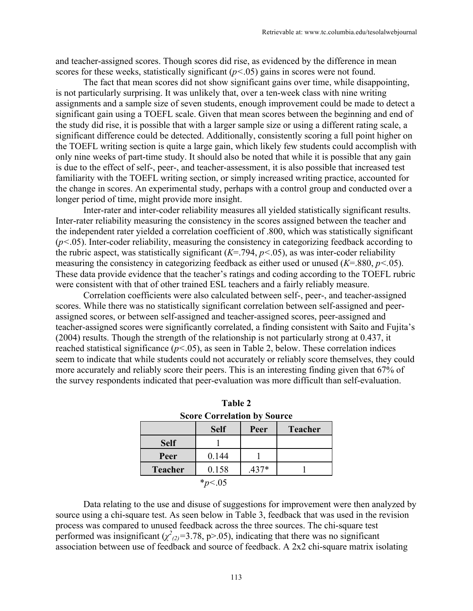and teacher-assigned scores. Though scores did rise, as evidenced by the difference in mean scores for these weeks, statistically significant  $(p<.05)$  gains in scores were not found.

The fact that mean scores did not show significant gains over time, while disappointing, is not particularly surprising. It was unlikely that, over a ten-week class with nine writing assignments and a sample size of seven students, enough improvement could be made to detect a significant gain using a TOEFL scale. Given that mean scores between the beginning and end of the study did rise, it is possible that with a larger sample size or using a different rating scale, a significant difference could be detected. Additionally, consistently scoring a full point higher on the TOEFL writing section is quite a large gain, which likely few students could accomplish with only nine weeks of part-time study. It should also be noted that while it is possible that any gain is due to the effect of self-, peer-, and teacher-assessment, it is also possible that increased test familiarity with the TOEFL writing section, or simply increased writing practice, accounted for the change in scores. An experimental study, perhaps with a control group and conducted over a longer period of time, might provide more insight.

Inter-rater and inter-coder reliability measures all yielded statistically significant results. Inter-rater reliability measuring the consistency in the scores assigned between the teacher and the independent rater yielded a correlation coefficient of .800, which was statistically significant (*p<*.05). Inter-coder reliability, measuring the consistency in categorizing feedback according to the rubric aspect, was statistically significant  $(K=794, p<.05)$ , as was inter-coder reliability measuring the consistency in categorizing feedback as either used or unused (*K*=.880, *p<.*05). These data provide evidence that the teacher's ratings and coding according to the TOEFL rubric were consistent with that of other trained ESL teachers and a fairly reliably measure.

Correlation coefficients were also calculated between self-, peer-, and teacher-assigned scores. While there was no statistically significant correlation between self-assigned and peerassigned scores, or between self-assigned and teacher-assigned scores, peer-assigned and teacher-assigned scores were significantly correlated, a finding consistent with Saito and Fujita's (2004) results. Though the strength of the relationship is not particularly strong at 0.437, it reached statistical significance (*p<*.05), as seen in Table 2, below. These correlation indices seem to indicate that while students could not accurately or reliably score themselves, they could more accurately and reliably score their peers. This is an interesting finding given that 67% of the survey respondents indicated that peer-evaluation was more difficult than self-evaluation.

|                | <b>OCOLUME COLLUMATION DV OUTLE</b> |         |                |
|----------------|-------------------------------------|---------|----------------|
|                | <b>Self</b>                         | Peer    | <b>Teacher</b> |
| <b>Self</b>    |                                     |         |                |
| Peer           | 0.144                               |         |                |
| <b>Teacher</b> | 0.158                               | $.437*$ |                |
|                | $*_{p<.05}$                         |         |                |

| Table 2                            |
|------------------------------------|
| <b>Score Correlation by Source</b> |

Data relating to the use and disuse of suggestions for improvement were then analyzed by source using a chi-square test. As seen below in Table 3, feedback that was used in the revision process was compared to unused feedback across the three sources. The chi-square test performed was insignificant  $(\chi^2_{(2)}=3.78, p>0.05)$ , indicating that there was no significant association between use of feedback and source of feedback. A 2x2 chi-square matrix isolating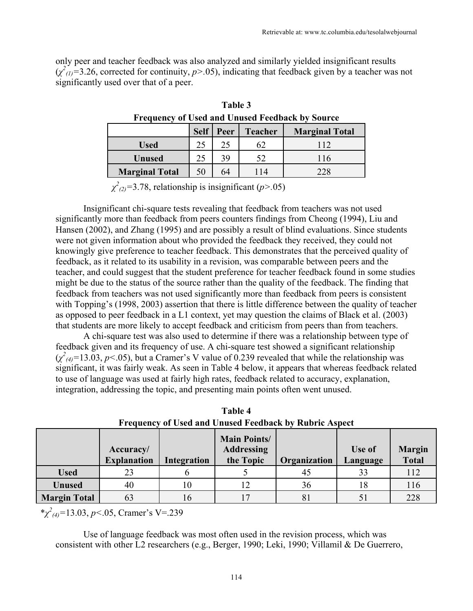only peer and teacher feedback was also analyzed and similarly yielded insignificant results  $(\chi^2_{(1)}=3.26$ , corrected for continuity,  $p > .05$ ), indicating that feedback given by a teacher was not significantly used over that of a peer.

| r requency of Osea and Unused reedback by Source |             |      |                |                       |  |  |  |  |  |
|--------------------------------------------------|-------------|------|----------------|-----------------------|--|--|--|--|--|
|                                                  | <b>Self</b> | Peer | <b>Teacher</b> | <b>Marginal Total</b> |  |  |  |  |  |
| <b>Used</b>                                      | 25          | 25   | 62             | 112                   |  |  |  |  |  |
| <b>Unused</b>                                    | 25          | 39   | 52             | 116                   |  |  |  |  |  |
| <b>Marginal Total</b>                            | 50          | 64   | 14             | 228                   |  |  |  |  |  |

**Table 3 Frequency of Used and Unused Feedback by Source**

*χ 2 (2)=*3.78, relationship is insignificant (*p>.*05)

Insignificant chi-square tests revealing that feedback from teachers was not used significantly more than feedback from peers counters findings from Cheong (1994), Liu and Hansen (2002), and Zhang (1995) and are possibly a result of blind evaluations. Since students were not given information about who provided the feedback they received, they could not knowingly give preference to teacher feedback. This demonstrates that the perceived quality of feedback, as it related to its usability in a revision, was comparable between peers and the teacher, and could suggest that the student preference for teacher feedback found in some studies might be due to the status of the source rather than the quality of the feedback. The finding that feedback from teachers was not used significantly more than feedback from peers is consistent with Topping's (1998, 2003) assertion that there is little difference between the quality of teacher as opposed to peer feedback in a L1 context, yet may question the claims of Black et al. (2003) that students are more likely to accept feedback and criticism from peers than from teachers.

A chi-square test was also used to determine if there was a relationship between type of feedback given and its frequency of use. A chi-square test showed a significant relationship  $(\chi^2_{(4)}=13.03, p<.05)$ , but a Cramer's V value of 0.239 revealed that while the relationship was significant, it was fairly weak. As seen in Table 4 below, it appears that whereas feedback related to use of language was used at fairly high rates, feedback related to accuracy, explanation, integration, addressing the topic, and presenting main points often went unused.

|                     |                                 |             |                                                       | ---------------- |                    |                               |
|---------------------|---------------------------------|-------------|-------------------------------------------------------|------------------|--------------------|-------------------------------|
|                     | Accuracy/<br><b>Explanation</b> | Integration | <b>Main Points/</b><br><b>Addressing</b><br>the Topic | Organization     | Use of<br>Language | <b>Margin</b><br><b>Total</b> |
| <b>Used</b>         |                                 |             |                                                       | 45               | 33                 | 112                           |
| <b>Unused</b>       | 40                              | 10          |                                                       | 36               |                    | 116                           |
| <b>Margin Total</b> | 63                              | 16          |                                                       | 81               |                    | 228                           |

**Table 4 Frequency of Used and Unused Feedback by Rubric Aspect**

\**χ 2 (4)=*13.03, *p<*.05, Cramer's V=.239

Use of language feedback was most often used in the revision process, which was consistent with other L2 researchers (e.g., Berger, 1990; Leki, 1990; Villamil & De Guerrero,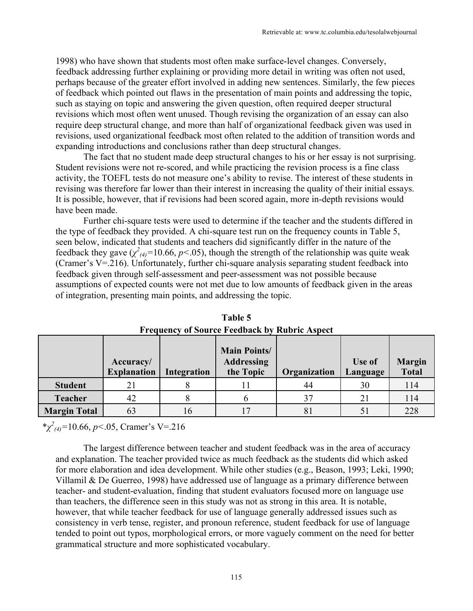1998) who have shown that students most often make surface-level changes. Conversely, feedback addressing further explaining or providing more detail in writing was often not used, perhaps because of the greater effort involved in adding new sentences. Similarly, the few pieces of feedback which pointed out flaws in the presentation of main points and addressing the topic, such as staying on topic and answering the given question, often required deeper structural revisions which most often went unused. Though revising the organization of an essay can also require deep structural change, and more than half of organizational feedback given was used in revisions, used organizational feedback most often related to the addition of transition words and expanding introductions and conclusions rather than deep structural changes.

The fact that no student made deep structural changes to his or her essay is not surprising. Student revisions were not re-scored, and while practicing the revision process is a fine class activity, the TOEFL tests do not measure one's ability to revise. The interest of these students in revising was therefore far lower than their interest in increasing the quality of their initial essays. It is possible, however, that if revisions had been scored again, more in-depth revisions would have been made.

Further chi-square tests were used to determine if the teacher and the students differed in the type of feedback they provided. A chi-square test run on the frequency counts in Table 5, seen below, indicated that students and teachers did significantly differ in the nature of the feedback they gave  $(\chi^2_{(4)}=10.66, p<.05)$ , though the strength of the relationship was quite weak (Cramer's V=.216). Unfortunately, further chi-square analysis separating student feedback into feedback given through self-assessment and peer-assessment was not possible because assumptions of expected counts were not met due to low amounts of feedback given in the areas of integration, presenting main points, and addressing the topic.

|                     | Accuracy/<br><b>Explanation</b> | Integration | <b>Main Points/</b><br><b>Addressing</b><br>the Topic | Organization | Use of<br>Language | <b>Margin</b><br><b>Total</b> |
|---------------------|---------------------------------|-------------|-------------------------------------------------------|--------------|--------------------|-------------------------------|
| <b>Student</b>      |                                 |             |                                                       | 44           | 30                 | 114                           |
| <b>Teacher</b>      |                                 |             |                                                       |              |                    | 114                           |
| <b>Margin Total</b> | 63                              | l 6         |                                                       | 81           |                    | 228                           |

**Table 5 Frequency of Source Feedback by Rubric Aspect** 

\**χ 2 (4)=*10.66, *p<*.05, Cramer's V=.216

The largest difference between teacher and student feedback was in the area of accuracy and explanation. The teacher provided twice as much feedback as the students did which asked for more elaboration and idea development. While other studies (e.g., Beason, 1993; Leki, 1990; Villamil & De Guerreo, 1998) have addressed use of language as a primary difference between teacher- and student-evaluation, finding that student evaluators focused more on language use than teachers, the difference seen in this study was not as strong in this area. It is notable, however, that while teacher feedback for use of language generally addressed issues such as consistency in verb tense, register, and pronoun reference, student feedback for use of language tended to point out typos, morphological errors, or more vaguely comment on the need for better grammatical structure and more sophisticated vocabulary.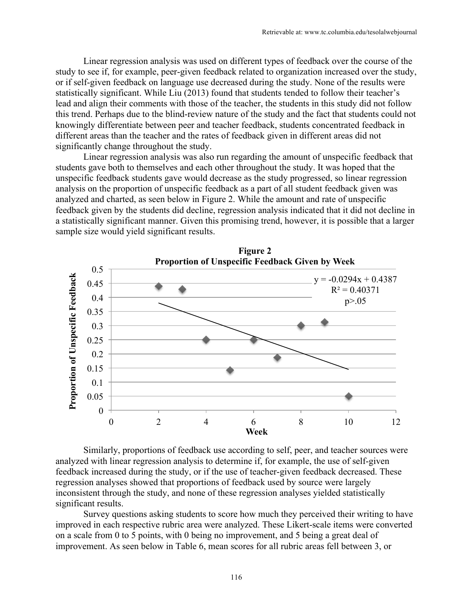Linear regression analysis was used on different types of feedback over the course of the study to see if, for example, peer-given feedback related to organization increased over the study, or if self-given feedback on language use decreased during the study. None of the results were statistically significant. While Liu (2013) found that students tended to follow their teacher's lead and align their comments with those of the teacher, the students in this study did not follow this trend. Perhaps due to the blind-review nature of the study and the fact that students could not knowingly differentiate between peer and teacher feedback, students concentrated feedback in different areas than the teacher and the rates of feedback given in different areas did not significantly change throughout the study.

Linear regression analysis was also run regarding the amount of unspecific feedback that students gave both to themselves and each other throughout the study. It was hoped that the unspecific feedback students gave would decrease as the study progressed, so linear regression analysis on the proportion of unspecific feedback as a part of all student feedback given was analyzed and charted, as seen below in Figure 2. While the amount and rate of unspecific feedback given by the students did decline, regression analysis indicated that it did not decline in a statistically significant manner. Given this promising trend, however, it is possible that a larger sample size would yield significant results.



Similarly, proportions of feedback use according to self, peer, and teacher sources were analyzed with linear regression analysis to determine if, for example, the use of self-given feedback increased during the study, or if the use of teacher-given feedback decreased. These regression analyses showed that proportions of feedback used by source were largely inconsistent through the study, and none of these regression analyses yielded statistically significant results.

Survey questions asking students to score how much they perceived their writing to have improved in each respective rubric area were analyzed. These Likert-scale items were converted on a scale from 0 to 5 points, with 0 being no improvement, and 5 being a great deal of improvement. As seen below in Table 6, mean scores for all rubric areas fell between 3, or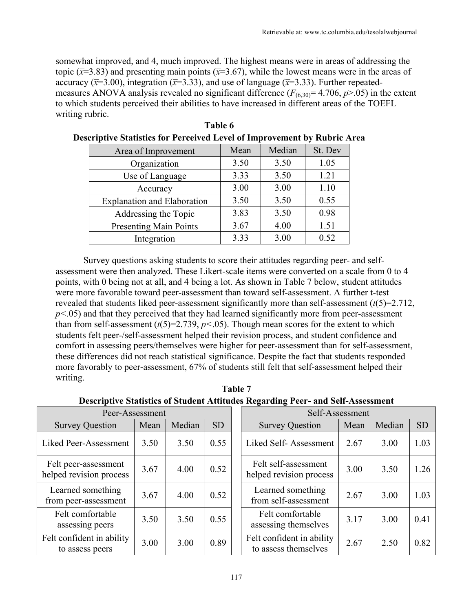somewhat improved, and 4, much improved. The highest means were in areas of addressing the topic ( $\bar{x}$ =3.83) and presenting main points ( $\bar{x}$ =3.67), while the lowest means were in the areas of accuracy ( $\bar{x}$ =3.00), integration ( $\bar{x}$ =3.33), and use of language ( $\bar{x}$ =3.33). Further repeatedmeasures ANOVA analysis revealed no significant difference  $(F_{(6,30)}=4.706, p>0.05)$  in the extent to which students perceived their abilities to have increased in different areas of the TOEFL writing rubric.

| Area of Improvement                | Mean | Median | St. Dev |
|------------------------------------|------|--------|---------|
| Organization                       | 3.50 | 3.50   | 1.05    |
| Use of Language                    | 3.33 | 3.50   | 1.21    |
| Accuracy                           | 3.00 | 3.00   | 1.10    |
| <b>Explanation and Elaboration</b> | 3.50 | 3.50   | 0.55    |
| Addressing the Topic               | 3.83 | 3.50   | 0.98    |
| <b>Presenting Main Points</b>      | 3.67 | 4.00   | 1.51    |
| Integration                        | 3.33 | 3.00   | 0.52    |

| Table 6                                                                         |
|---------------------------------------------------------------------------------|
| <b>Descriptive Statistics for Perceived Level of Improvement by Rubric Area</b> |

Survey questions asking students to score their attitudes regarding peer- and selfassessment were then analyzed. These Likert-scale items were converted on a scale from 0 to 4 points, with 0 being not at all, and 4 being a lot. As shown in Table 7 below, student attitudes were more favorable toward peer-assessment than toward self-assessment. A further t-test revealed that students liked peer-assessment significantly more than self-assessment (*t*(5)=2.712,  $p<.05$ ) and that they perceived that they had learned significantly more from peer-assessment than from self-assessment  $(t(5)=2.739, p<0.05)$ . Though mean scores for the extent to which students felt peer-/self-assessment helped their revision process, and student confidence and comfort in assessing peers/themselves were higher for peer-assessment than for self-assessment, these differences did not reach statistical significance. Despite the fact that students responded more favorably to peer-assessment, 67% of students still felt that self-assessment helped their writing.

| Table 7                                                                                |
|----------------------------------------------------------------------------------------|
| <b>Descriptive Statistics of Student Attitudes Regarding Peer- and Self-Assessment</b> |

| Peer-Assessment                                 |      |        |           | Self-Assessment                                   |      |        |           |
|-------------------------------------------------|------|--------|-----------|---------------------------------------------------|------|--------|-----------|
| <b>Survey Question</b>                          | Mean | Median | <b>SD</b> | Mean<br><b>Survey Question</b>                    |      | Median | <b>SD</b> |
| Liked Peer-Assessment                           | 3.50 | 3.50   | 0.55      | Liked Self-Assessment                             | 2.67 | 3.00   | 1.03      |
| Felt peer-assessment<br>helped revision process | 3.67 | 4.00   | 0.52      | Felt self-assessment<br>helped revision process   | 3.00 | 3.50   | 1.26      |
| Learned something<br>from peer-assessment       | 3.67 | 4.00   | 0.52      | Learned something<br>from self-assessment         | 2.67 | 3.00   | 1.03      |
| Felt comfortable<br>assessing peers             | 3.50 | 3.50   | 0.55      | Felt comfortable<br>assessing themselves          | 3.17 | 3.00   | 0.41      |
| Felt confident in ability<br>to assess peers    | 3.00 | 3.00   | 0.89      | Felt confident in ability<br>to assess themselves | 2.67 | 2.50   | 0.82      |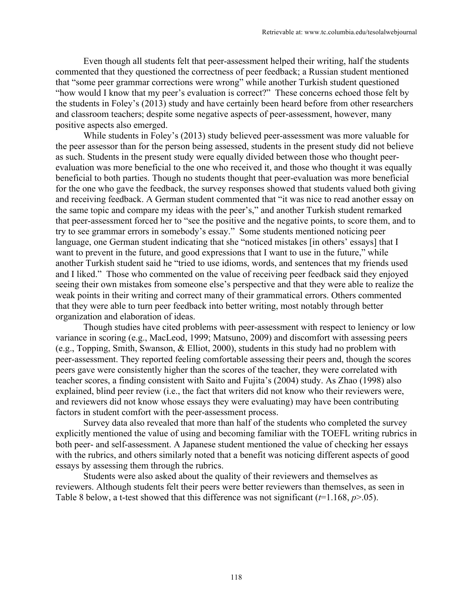Even though all students felt that peer-assessment helped their writing, half the students commented that they questioned the correctness of peer feedback; a Russian student mentioned that "some peer grammar corrections were wrong" while another Turkish student questioned "how would I know that my peer's evaluation is correct?" These concerns echoed those felt by the students in Foley's (2013) study and have certainly been heard before from other researchers and classroom teachers; despite some negative aspects of peer-assessment, however, many positive aspects also emerged.

While students in Foley's (2013) study believed peer-assessment was more valuable for the peer assessor than for the person being assessed, students in the present study did not believe as such. Students in the present study were equally divided between those who thought peerevaluation was more beneficial to the one who received it, and those who thought it was equally beneficial to both parties. Though no students thought that peer-evaluation was more beneficial for the one who gave the feedback, the survey responses showed that students valued both giving and receiving feedback. A German student commented that "it was nice to read another essay on the same topic and compare my ideas with the peer's," and another Turkish student remarked that peer-assessment forced her to "see the positive and the negative points, to score them, and to try to see grammar errors in somebody's essay." Some students mentioned noticing peer language, one German student indicating that she "noticed mistakes [in others' essays] that I want to prevent in the future, and good expressions that I want to use in the future," while another Turkish student said he "tried to use idioms, words, and sentences that my friends used and I liked." Those who commented on the value of receiving peer feedback said they enjoyed seeing their own mistakes from someone else's perspective and that they were able to realize the weak points in their writing and correct many of their grammatical errors. Others commented that they were able to turn peer feedback into better writing, most notably through better organization and elaboration of ideas.

Though studies have cited problems with peer-assessment with respect to leniency or low variance in scoring (e.g., MacLeod, 1999; Matsuno, 2009) and discomfort with assessing peers (e.g., Topping, Smith, Swanson, & Elliot, 2000), students in this study had no problem with peer-assessment. They reported feeling comfortable assessing their peers and, though the scores peers gave were consistently higher than the scores of the teacher, they were correlated with teacher scores, a finding consistent with Saito and Fujita's (2004) study. As Zhao (1998) also explained, blind peer review (i.e., the fact that writers did not know who their reviewers were, and reviewers did not know whose essays they were evaluating) may have been contributing factors in student comfort with the peer-assessment process.

Survey data also revealed that more than half of the students who completed the survey explicitly mentioned the value of using and becoming familiar with the TOEFL writing rubrics in both peer- and self-assessment. A Japanese student mentioned the value of checking her essays with the rubrics, and others similarly noted that a benefit was noticing different aspects of good essays by assessing them through the rubrics.

Students were also asked about the quality of their reviewers and themselves as reviewers. Although students felt their peers were better reviewers than themselves, as seen in Table 8 below, a t-test showed that this difference was not significant  $(t=1.168, p>0.05)$ .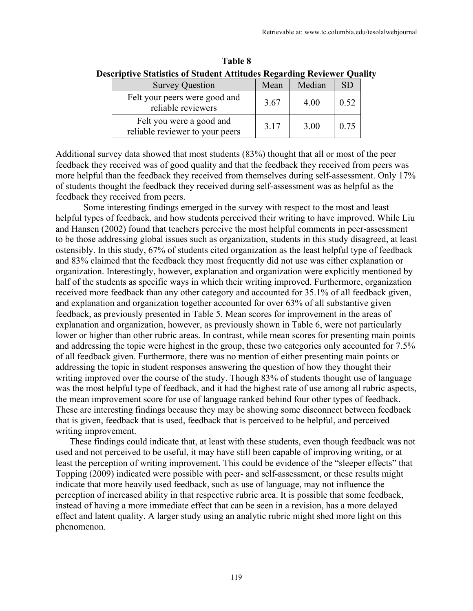| <b>Survey Question</b>                                      | Mean | Median | <b>SD</b> |
|-------------------------------------------------------------|------|--------|-----------|
| Felt your peers were good and<br>reliable reviewers         | 3.67 | 4.00   | 0.52      |
| Felt you were a good and<br>reliable reviewer to your peers | 3.17 | 3.00   | 0.75      |

**Table 8 Descriptive Statistics of Student Attitudes Regarding Reviewer Quality**

Additional survey data showed that most students (83%) thought that all or most of the peer feedback they received was of good quality and that the feedback they received from peers was more helpful than the feedback they received from themselves during self-assessment. Only 17% of students thought the feedback they received during self-assessment was as helpful as the feedback they received from peers.

Some interesting findings emerged in the survey with respect to the most and least helpful types of feedback, and how students perceived their writing to have improved. While Liu and Hansen (2002) found that teachers perceive the most helpful comments in peer-assessment to be those addressing global issues such as organization, students in this study disagreed, at least ostensibly. In this study, 67% of students cited organization as the least helpful type of feedback and 83% claimed that the feedback they most frequently did not use was either explanation or organization. Interestingly, however, explanation and organization were explicitly mentioned by half of the students as specific ways in which their writing improved. Furthermore, organization received more feedback than any other category and accounted for 35.1% of all feedback given, and explanation and organization together accounted for over 63% of all substantive given feedback, as previously presented in Table 5. Mean scores for improvement in the areas of explanation and organization, however, as previously shown in Table 6, were not particularly lower or higher than other rubric areas. In contrast, while mean scores for presenting main points and addressing the topic were highest in the group, these two categories only accounted for 7.5% of all feedback given. Furthermore, there was no mention of either presenting main points or addressing the topic in student responses answering the question of how they thought their writing improved over the course of the study. Though 83% of students thought use of language was the most helpful type of feedback, and it had the highest rate of use among all rubric aspects, the mean improvement score for use of language ranked behind four other types of feedback. These are interesting findings because they may be showing some disconnect between feedback that is given, feedback that is used, feedback that is perceived to be helpful, and perceived writing improvement.

These findings could indicate that, at least with these students, even though feedback was not used and not perceived to be useful, it may have still been capable of improving writing, or at least the perception of writing improvement. This could be evidence of the "sleeper effects" that Topping (2009) indicated were possible with peer- and self-assessment, or these results might indicate that more heavily used feedback, such as use of language, may not influence the perception of increased ability in that respective rubric area. It is possible that some feedback, instead of having a more immediate effect that can be seen in a revision, has a more delayed effect and latent quality. A larger study using an analytic rubric might shed more light on this phenomenon.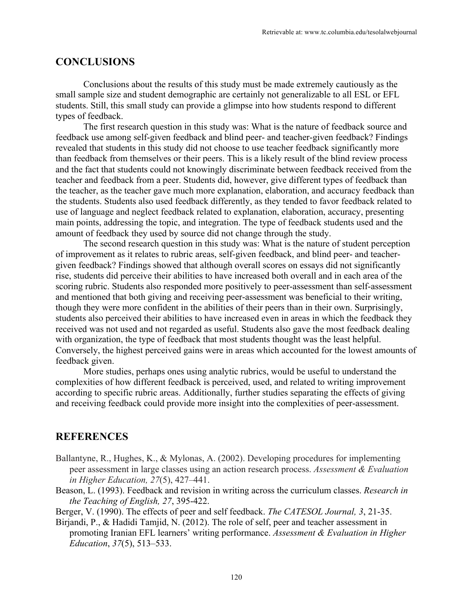#### **CONCLUSIONS**

Conclusions about the results of this study must be made extremely cautiously as the small sample size and student demographic are certainly not generalizable to all ESL or EFL students. Still, this small study can provide a glimpse into how students respond to different types of feedback.

The first research question in this study was: What is the nature of feedback source and feedback use among self-given feedback and blind peer- and teacher-given feedback? Findings revealed that students in this study did not choose to use teacher feedback significantly more than feedback from themselves or their peers. This is a likely result of the blind review process and the fact that students could not knowingly discriminate between feedback received from the teacher and feedback from a peer. Students did, however, give different types of feedback than the teacher, as the teacher gave much more explanation, elaboration, and accuracy feedback than the students. Students also used feedback differently, as they tended to favor feedback related to use of language and neglect feedback related to explanation, elaboration, accuracy, presenting main points, addressing the topic, and integration. The type of feedback students used and the amount of feedback they used by source did not change through the study.

The second research question in this study was: What is the nature of student perception of improvement as it relates to rubric areas, self-given feedback, and blind peer- and teachergiven feedback? Findings showed that although overall scores on essays did not significantly rise, students did perceive their abilities to have increased both overall and in each area of the scoring rubric. Students also responded more positively to peer-assessment than self-assessment and mentioned that both giving and receiving peer-assessment was beneficial to their writing, though they were more confident in the abilities of their peers than in their own. Surprisingly, students also perceived their abilities to have increased even in areas in which the feedback they received was not used and not regarded as useful. Students also gave the most feedback dealing with organization, the type of feedback that most students thought was the least helpful. Conversely, the highest perceived gains were in areas which accounted for the lowest amounts of feedback given.

More studies, perhaps ones using analytic rubrics, would be useful to understand the complexities of how different feedback is perceived, used, and related to writing improvement according to specific rubric areas. Additionally, further studies separating the effects of giving and receiving feedback could provide more insight into the complexities of peer-assessment.

#### **REFERENCES**

- Ballantyne, R., Hughes, K., & Mylonas, A. (2002). Developing procedures for implementing peer assessment in large classes using an action research process. *Assessment & Evaluation in Higher Education, 27*(5), 427–441.
- Beason, L. (1993). Feedback and revision in writing across the curriculum classes. *Research in the Teaching of English, 27*, 395-422.

Berger, V. (1990). The effects of peer and self feedback. *The CATESOL Journal, 3*, 21-35.

Birjandi, P., & Hadidi Tamjid, N. (2012). The role of self, peer and teacher assessment in promoting Iranian EFL learners' writing performance. *Assessment & Evaluation in Higher Education*, *37*(5), 513–533.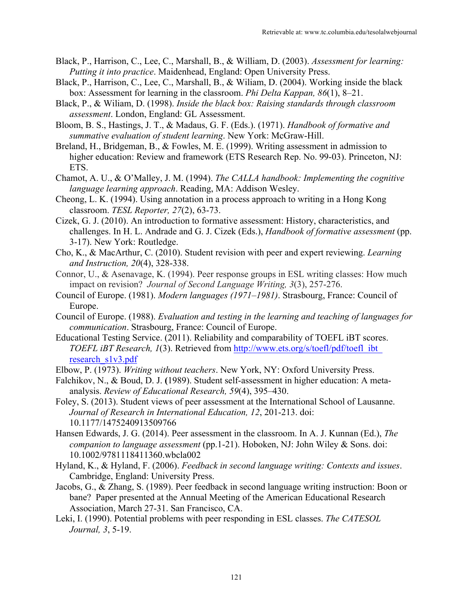- Black, P., Harrison, C., Lee, C., Marshall, B., & William, D. (2003). *Assessment for learning: Putting it into practice*. Maidenhead, England: Open University Press.
- Black, P., Harrison, C., Lee, C., Marshall, B., & Wiliam, D. (2004). Working inside the black box: Assessment for learning in the classroom. *Phi Delta Kappan, 86*(1), 8–21.
- Black, P., & Wiliam, D. (1998). *Inside the black box: Raising standards through classroom assessment*. London, England: GL Assessment.
- Bloom, B. S., Hastings, J. T., & Madaus, G. F. (Eds.). (1971). *Handbook of formative and summative evaluation of student learning*. New York: McGraw-Hill.
- Breland, H., Bridgeman, B., & Fowles, M. E. (1999). Writing assessment in admission to higher education: Review and framework (ETS Research Rep. No. 99-03). Princeton, NJ: ETS.
- Chamot, A. U., & O'Malley, J. M. (1994). *The CALLA handbook: Implementing the cognitive language learning approach*. Reading, MA: Addison Wesley.
- Cheong, L. K. (1994). Using annotation in a process approach to writing in a Hong Kong classroom. *TESL Reporter, 27*(2), 63-73.
- Cizek, G. J. (2010). An introduction to formative assessment: History, characteristics, and challenges. In H. L. Andrade and G. J. Cizek (Eds.), *Handbook of formative assessment* (pp. 3-17). New York: Routledge.
- Cho, K., & MacArthur, C. (2010). Student revision with peer and expert reviewing. *Learning and Instruction, 20*(4), 328-338.
- Connor, U., & Asenavage, K. (1994). Peer response groups in ESL writing classes: How much impact on revision? *Journal of Second Language Writing, 3*(3), 257-276.
- Council of Europe. (1981). *Modern languages (1971–1981)*. Strasbourg, France: Council of Europe.
- Council of Europe. (1988). *Evaluation and testing in the learning and teaching of languages for communication*. Strasbourg, France: Council of Europe.
- Educational Testing Service. (2011). Reliability and comparability of TOEFL iBT scores. *TOEFL iBT Research, 1*(3). Retrieved from http://www.ets.org/s/toefl/pdf/toefl\_ibt\_ research s1v3.pdf
- Elbow, P. (1973). *Writing without teachers*. New York, NY: Oxford University Press.
- Falchikov, N., & Boud, D. J. **(**1989). Student self-assessment in higher education: A metaanalysis. *Review of Educational Research, 59*(4), 395–430.
- Foley, S. (2013). Student views of peer assessment at the International School of Lausanne. *Journal of Research in International Education, 12*, 201-213. doi: 10.1177/1475240913509766
- Hansen Edwards, J. G. (2014). Peer assessment in the classroom. In A. J. Kunnan (Ed.), *The companion to language assessment* (pp.1-21). Hoboken, NJ: John Wiley & Sons. doi: 10.1002/9781118411360.wbcla002
- Hyland, K., & Hyland, F. (2006). *Feedback in second language writing: Contexts and issues*. Cambridge, England: University Press.
- Jacobs, G., & Zhang, S. (1989). Peer feedback in second language writing instruction: Boon or bane? Paper presented at the Annual Meeting of the American Educational Research Association, March 27-31. San Francisco, CA.
- Leki, I. (1990). Potential problems with peer responding in ESL classes. *The CATESOL Journal, 3*, 5-19.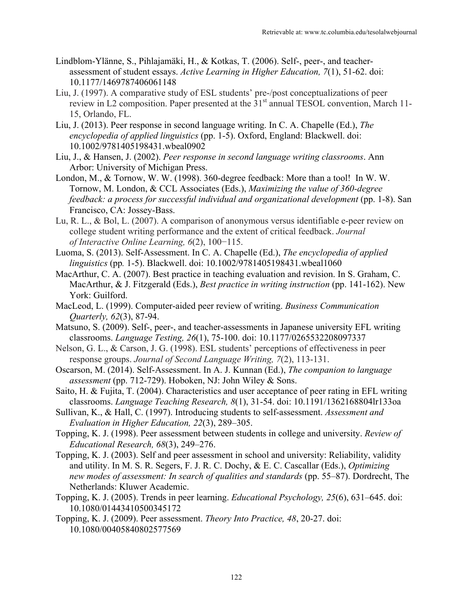- Lindblom-Ylänne, S., Pihlajamäki, H., & Kotkas, T. (2006). Self-, peer-, and teacherassessment of student essays. *Active Learning in Higher Education, 7*(1), 51-62. doi: 10.1177/1469787406061148
- Liu, J. (1997). A comparative study of ESL students' pre-/post conceptualizations of peer review in L2 composition. Paper presented at the  $31<sup>st</sup>$  annual TESOL convention, March 11-15, Orlando, FL.
- Liu, J. (2013). Peer response in second language writing. In C. A. Chapelle (Ed.), *The encyclopedia of applied linguistics* (pp. 1-5). Oxford, England: Blackwell. doi: 10.1002/9781405198431.wbeal0902
- Liu, J., & Hansen, J. (2002). *Peer response in second language writing classrooms*. Ann Arbor: University of Michigan Press.
- London, M., & Tornow, W. W. (1998). 360-degree feedback: More than a tool! In W. W. Tornow, M. London, & CCL Associates (Eds.), *Maximizing the value of 360-degree feedback: a process for successful individual and organizational development* (pp. 1-8). San Francisco, CA: Jossey-Bass.
- Lu, R. L., & Bol, L. (2007). A comparison of anonymous versus identifiable e-peer review on college student writing performance and the extent of critical feedback. *Journal of Interactive Online Learning, 6*(2), 100−115.
- Luoma, S. (2013). Self-Assessment. In C. A. Chapelle (Ed.), *The encyclopedia of applied linguistics* (pp*.* 1-5). Blackwell. doi: 10.1002/9781405198431.wbeal1060
- MacArthur, C. A. (2007). Best practice in teaching evaluation and revision. In S. Graham, C. MacArthur, & J. Fitzgerald (Eds.), *Best practice in writing instruction* (pp. 141-162). New York: Guilford.
- MacLeod, L. (1999). Computer-aided peer review of writing. *Business Communication Quarterly, 62*(3), 87-94.
- Matsuno, S. (2009). Self-, peer-, and teacher-assessments in Japanese university EFL writing classrooms. *Language Testing, 26*(1), 75-100. doi: 10.1177/0265532208097337
- Nelson, G. L., & Carson, J. G. (1998). ESL students' perceptions of effectiveness in peer response groups. *Journal of Second Language Writing, 7*(2), 113-131.
- Oscarson, M. (2014). Self-Assessment. In A. J. Kunnan (Ed.), *The companion to language assessment* (pp. 712-729). Hoboken, NJ: John Wiley & Sons.
- Saito, H. & Fujita, T. (2004). Characteristics and user acceptance of peer rating in EFL writing classrooms. *Language Teaching Research, 8*(1), 31-54. doi: 10.1191/1362168804lr133oa
- Sullivan, K., & Hall, C. (1997). Introducing students to self-assessment. *Assessment and Evaluation in Higher Education, 22*(3), 289–305.
- Topping, K. J. (1998). Peer assessment between students in college and university. *Review of Educational Research, 68*(3), 249–276.
- Topping, K. J. (2003). Self and peer assessment in school and university: Reliability, validity and utility. In M. S. R. Segers, F. J. R. C. Dochy, & E. C. Cascallar (Eds.), *Optimizing new modes of assessment: In search of qualities and standards* (pp. 55–87). Dordrecht, The Netherlands: Kluwer Academic.
- Topping, K. J. (2005). Trends in peer learning. *Educational Psychology, 25*(6), 631–645. doi: 10.1080/01443410500345172
- Topping, K. J. (2009). Peer assessment. *Theory Into Practice, 48*, 20-27. doi: 10.1080/00405840802577569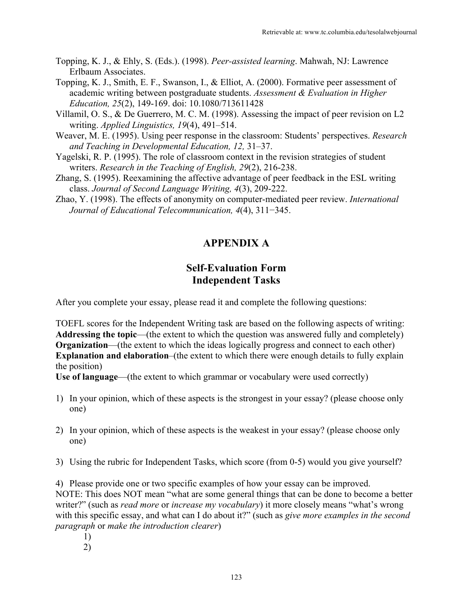- Topping, K. J., & Ehly, S. (Eds.). (1998). *Peer-assisted learning*. Mahwah, NJ: Lawrence Erlbaum Associates.
- Topping, K. J., Smith, E. F., Swanson, I., & Elliot, A. (2000). Formative peer assessment of academic writing between postgraduate students. *Assessment & Evaluation in Higher Education, 25*(2), 149-169. doi: 10.1080/713611428
- Villamil, O. S., & De Guerrero, M. C. M. (1998). Assessing the impact of peer revision on L2 writing. *Applied Linguistics, 19*(4), 491–514.
- Weaver, M. E. (1995). Using peer response in the classroom: Students' perspectives. *Research and Teaching in Developmental Education, 12,* 31–37.
- Yagelski, R. P. (1995). The role of classroom context in the revision strategies of student writers. *Research in the Teaching of English, 29*(2), 216-238.
- Zhang, S. (1995). Reexamining the affective advantage of peer feedback in the ESL writing class. *Journal of Second Language Writing, 4*(3), 209-222.
- Zhao, Y. (1998). The effects of anonymity on computer-mediated peer review. *International Journal of Educational Telecommunication, 4*(4), 311−345.

## **APPENDIX A**

## **Self-Evaluation Form Independent Tasks**

After you complete your essay, please read it and complete the following questions:

TOEFL scores for the Independent Writing task are based on the following aspects of writing: Addressing the topic—(the extent to which the question was answered fully and completely) **Organization—(the extent to which the ideas logically progress and connect to each other) Explanation and elaboration–(the extent to which there were enough details to fully explain** the position)

**Use of language**—(the extent to which grammar or vocabulary were used correctly)

- 1) In your opinion, which of these aspects is the strongest in your essay? (please choose only one)
- 2) In your opinion, which of these aspects is the weakest in your essay? (please choose only one)
- 3) Using the rubric for Independent Tasks, which score (from 0-5) would you give yourself?

4) Please provide one or two specific examples of how your essay can be improved. NOTE: This does NOT mean "what are some general things that can be done to become a better writer?" (such as *read more* or *increase my vocabulary*) it more closely means "what's wrong with this specific essay, and what can I do about it?" (such as *give more examples in the second paragraph* or *make the introduction clearer*)

- 1)
- 2)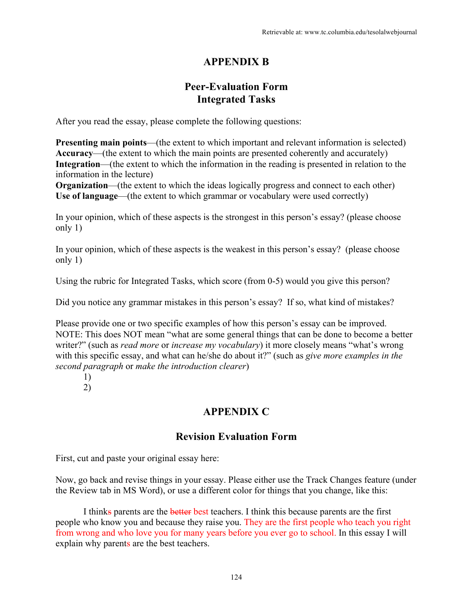## **APPENDIX B**

## **Peer-Evaluation Form Integrated Tasks**

After you read the essay, please complete the following questions:

**Presenting main points—(the extent to which important and relevant information is selected) Accuracy**—(the extent to which the main points are presented coherently and accurately) **Integration**—(the extent to which the information in the reading is presented in relation to the information in the lecture)

**Organization**—(the extent to which the ideas logically progress and connect to each other) Use of language—(the extent to which grammar or vocabulary were used correctly)

In your opinion, which of these aspects is the strongest in this person's essay? (please choose only 1)

In your opinion, which of these aspects is the weakest in this person's essay? (please choose only 1)

Using the rubric for Integrated Tasks, which score (from 0-5) would you give this person?

Did you notice any grammar mistakes in this person's essay? If so, what kind of mistakes?

Please provide one or two specific examples of how this person's essay can be improved. NOTE: This does NOT mean "what are some general things that can be done to become a better writer?" (such as *read more* or *increase my vocabulary*) it more closely means "what's wrong with this specific essay, and what can he/she do about it?" (such as *give more examples in the second paragraph* or *make the introduction clearer*)

1)

2)

## **APPENDIX C**

## **Revision Evaluation Form**

First, cut and paste your original essay here:

Now, go back and revise things in your essay. Please either use the Track Changes feature (under the Review tab in MS Word), or use a different color for things that you change, like this:

I thinks parents are the better best teachers. I think this because parents are the first people who know you and because they raise you. They are the first people who teach you right from wrong and who love you for many years before you ever go to school. In this essay I will explain why parents are the best teachers.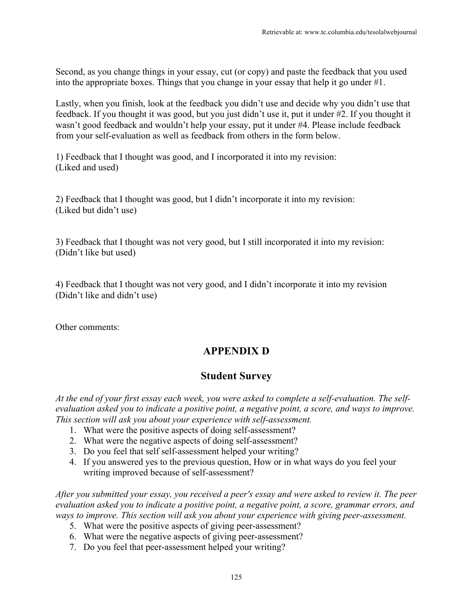Second, as you change things in your essay, cut (or copy) and paste the feedback that you used into the appropriate boxes. Things that you change in your essay that help it go under #1.

Lastly, when you finish, look at the feedback you didn't use and decide why you didn't use that feedback. If you thought it was good, but you just didn't use it, put it under #2. If you thought it wasn't good feedback and wouldn't help your essay, put it under #4. Please include feedback from your self-evaluation as well as feedback from others in the form below.

1) Feedback that I thought was good, and I incorporated it into my revision: (Liked and used)

2) Feedback that I thought was good, but I didn't incorporate it into my revision: (Liked but didn't use)

3) Feedback that I thought was not very good, but I still incorporated it into my revision: (Didn't like but used)

4) Feedback that I thought was not very good, and I didn't incorporate it into my revision (Didn't like and didn't use)

Other comments:

# **APPENDIX D**

## **Student Survey**

*At the end of your first essay each week, you were asked to complete a self-evaluation. The selfevaluation asked you to indicate a positive point, a negative point, a score, and ways to improve. This section will ask you about your experience with self-assessment.*

- 1. What were the positive aspects of doing self-assessment?
- 2. What were the negative aspects of doing self-assessment?
- 3. Do you feel that self self-assessment helped your writing?
- 4. If you answered yes to the previous question, How or in what ways do you feel your writing improved because of self-assessment?

*After you submitted your essay, you received a peer's essay and were asked to review it. The peer evaluation asked you to indicate a positive point, a negative point, a score, grammar errors, and ways to improve. This section will ask you about your experience with giving peer-assessment.*

- 5. What were the positive aspects of giving peer-assessment?
- 6. What were the negative aspects of giving peer-assessment?
- 7. Do you feel that peer-assessment helped your writing?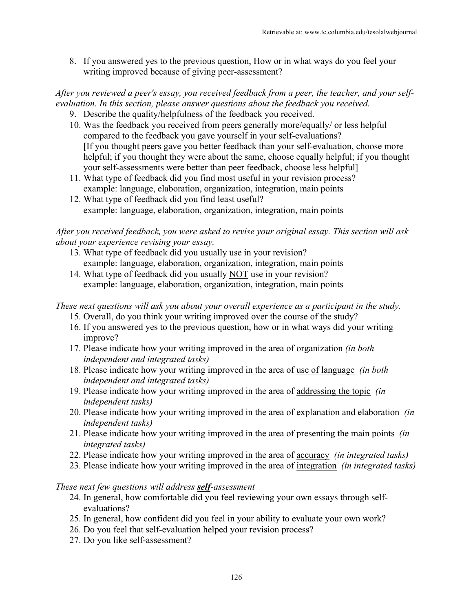8. If you answered yes to the previous question, How or in what ways do you feel your writing improved because of giving peer-assessment?

## *After you reviewed a peer's essay, you received feedback from a peer, the teacher, and your selfevaluation. In this section, please answer questions about the feedback you received.*

- 9. Describe the quality/helpfulness of the feedback you received.
- 10. Was the feedback you received from peers generally more/equally/ or less helpful compared to the feedback you gave yourself in your self-evaluations? [If you thought peers gave you better feedback than your self-evaluation, choose more helpful; if you thought they were about the same, choose equally helpful; if you thought your self-assessments were better than peer feedback, choose less helpful]
- 11. What type of feedback did you find most useful in your revision process? example: language, elaboration, organization, integration, main points
- 12. What type of feedback did you find least useful? example: language, elaboration, organization, integration, main points

### *After you received feedback, you were asked to revise your original essay. This section will ask about your experience revising your essay.*

- 13. What type of feedback did you usually use in your revision? example: language, elaboration, organization, integration, main points
- 14. What type of feedback did you usually NOT use in your revision? example: language, elaboration, organization, integration, main points

## *These next questions will ask you about your overall experience as a participant in the study.*

- 15. Overall, do you think your writing improved over the course of the study?
- 16. If you answered yes to the previous question, how or in what ways did your writing improve?
- 17. Please indicate how your writing improved in the area of organization *(in both independent and integrated tasks)*
- 18. Please indicate how your writing improved in the area of use of language *(in both independent and integrated tasks)*
- 19. Please indicate how your writing improved in the area of addressing the topic *(in independent tasks)*
- 20. Please indicate how your writing improved in the area of explanation and elaboration *(in independent tasks)*
- 21. Please indicate how your writing improved in the area of presenting the main points *(in integrated tasks)*
- 22. Please indicate how your writing improved in the area of accuracy *(in integrated tasks)*
- 23. Please indicate how your writing improved in the area of integration *(in integrated tasks)*

## *These next few questions will address self-assessment*

- 24. In general, how comfortable did you feel reviewing your own essays through selfevaluations?
- 25. In general, how confident did you feel in your ability to evaluate your own work?
- 26. Do you feel that self-evaluation helped your revision process?
- 27. Do you like self-assessment?